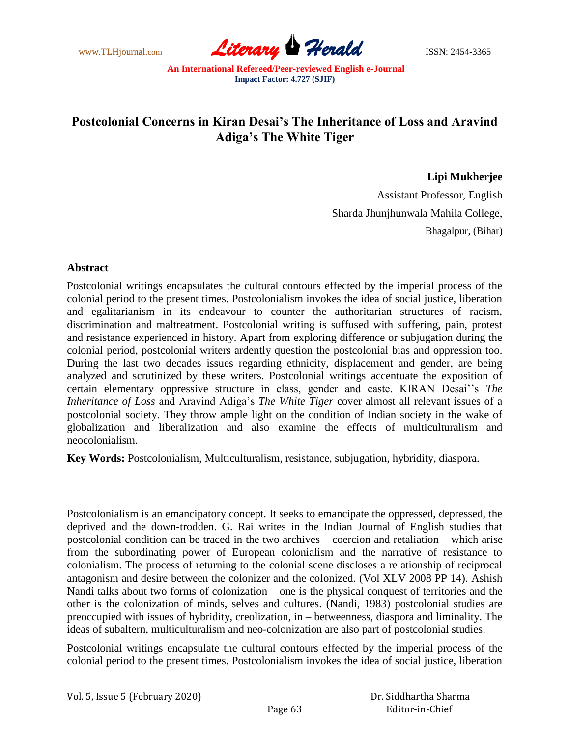www.TLHjournal.com **Literary Perald Herald** ISSN: 2454-3365

## **Postcolonial Concerns in Kiran Desai's The Inheritance of Loss and Aravind Adiga's The White Tiger**

**Lipi Mukherjee**

Assistant Professor, English Sharda Jhunjhunwala Mahila College, Bhagalpur, (Bihar)

## **Abstract**

Postcolonial writings encapsulates the cultural contours effected by the imperial process of the colonial period to the present times. Postcolonialism invokes the idea of social justice, liberation and egalitarianism in its endeavour to counter the authoritarian structures of racism, discrimination and maltreatment. Postcolonial writing is suffused with suffering, pain, protest and resistance experienced in history. Apart from exploring difference or subjugation during the colonial period, postcolonial writers ardently question the postcolonial bias and oppression too. During the last two decades issues regarding ethnicity, displacement and gender, are being analyzed and scrutinized by these writers. Postcolonial writings accentuate the exposition of certain elementary oppressive structure in class, gender and caste. KIRAN Desai""s *The Inheritance of Loss* and Aravind Adiga"s *The White Tiger* cover almost all relevant issues of a postcolonial society. They throw ample light on the condition of Indian society in the wake of globalization and liberalization and also examine the effects of multiculturalism and neocolonialism.

**Key Words:** Postcolonialism, Multiculturalism, resistance, subjugation, hybridity, diaspora.

Postcolonialism is an emancipatory concept. It seeks to emancipate the oppressed, depressed, the deprived and the down-trodden. G. Rai writes in the Indian Journal of English studies that postcolonial condition can be traced in the two archives – coercion and retaliation – which arise from the subordinating power of European colonialism and the narrative of resistance to colonialism. The process of returning to the colonial scene discloses a relationship of reciprocal antagonism and desire between the colonizer and the colonized. (Vol XLV 2008 PP 14). Ashish Nandi talks about two forms of colonization – one is the physical conquest of territories and the other is the colonization of minds, selves and cultures. (Nandi, 1983) postcolonial studies are preoccupied with issues of hybridity, creolization, in – betweenness, diaspora and liminality. The ideas of subaltern, multiculturalism and neo-colonization are also part of postcolonial studies.

Postcolonial writings encapsulate the cultural contours effected by the imperial process of the colonial period to the present times. Postcolonialism invokes the idea of social justice, liberation

| Dr. Siddhartha Sharma |
|-----------------------|
| Editor-in-Chief       |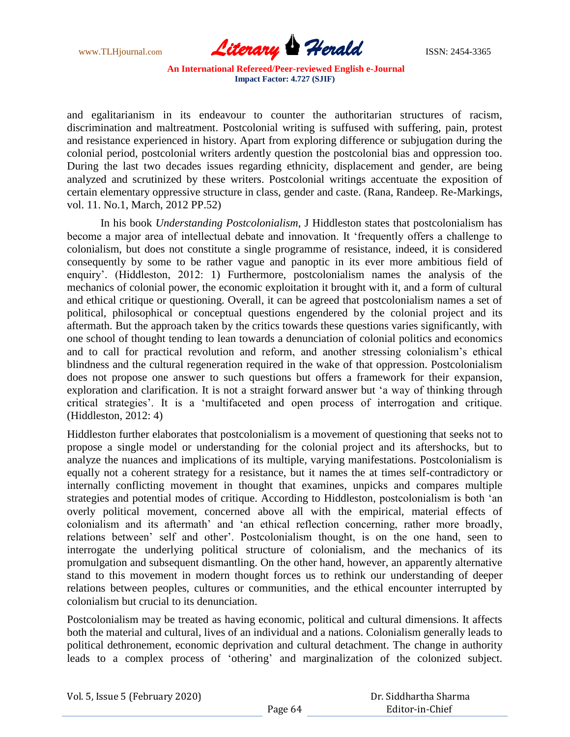

and egalitarianism in its endeavour to counter the authoritarian structures of racism, discrimination and maltreatment. Postcolonial writing is suffused with suffering, pain, protest and resistance experienced in history. Apart from exploring difference or subjugation during the colonial period, postcolonial writers ardently question the postcolonial bias and oppression too. During the last two decades issues regarding ethnicity, displacement and gender, are being analyzed and scrutinized by these writers. Postcolonial writings accentuate the exposition of certain elementary oppressive structure in class, gender and caste. (Rana, Randeep. Re-Markings, vol. 11. No.1, March, 2012 PP.52)

In his book *Understanding Postcolonialism*, J Hiddleston states that postcolonialism has become a major area of intellectual debate and innovation. It "frequently offers a challenge to colonialism, but does not constitute a single programme of resistance, indeed, it is considered consequently by some to be rather vague and panoptic in its ever more ambitious field of enquiry". (Hiddleston, 2012: 1) Furthermore, postcolonialism names the analysis of the mechanics of colonial power, the economic exploitation it brought with it, and a form of cultural and ethical critique or questioning. Overall, it can be agreed that postcolonialism names a set of political, philosophical or conceptual questions engendered by the colonial project and its aftermath. But the approach taken by the critics towards these questions varies significantly, with one school of thought tending to lean towards a denunciation of colonial politics and economics and to call for practical revolution and reform, and another stressing colonialism's ethical blindness and the cultural regeneration required in the wake of that oppression. Postcolonialism does not propose one answer to such questions but offers a framework for their expansion, exploration and clarification. It is not a straight forward answer but "a way of thinking through critical strategies". It is a "multifaceted and open process of interrogation and critique. (Hiddleston, 2012: 4)

Hiddleston further elaborates that postcolonialism is a movement of questioning that seeks not to propose a single model or understanding for the colonial project and its aftershocks, but to analyze the nuances and implications of its multiple, varying manifestations. Postcolonialism is equally not a coherent strategy for a resistance, but it names the at times self-contradictory or internally conflicting movement in thought that examines, unpicks and compares multiple strategies and potential modes of critique. According to Hiddleston, postcolonialism is both "an overly political movement, concerned above all with the empirical, material effects of colonialism and its aftermath" and "an ethical reflection concerning, rather more broadly, relations between" self and other". Postcolonialism thought, is on the one hand, seen to interrogate the underlying political structure of colonialism, and the mechanics of its promulgation and subsequent dismantling. On the other hand, however, an apparently alternative stand to this movement in modern thought forces us to rethink our understanding of deeper relations between peoples, cultures or communities, and the ethical encounter interrupted by colonialism but crucial to its denunciation.

Postcolonialism may be treated as having economic, political and cultural dimensions. It affects both the material and cultural, lives of an individual and a nations. Colonialism generally leads to political dethronement, economic deprivation and cultural detachment. The change in authority leads to a complex process of "othering" and marginalization of the colonized subject.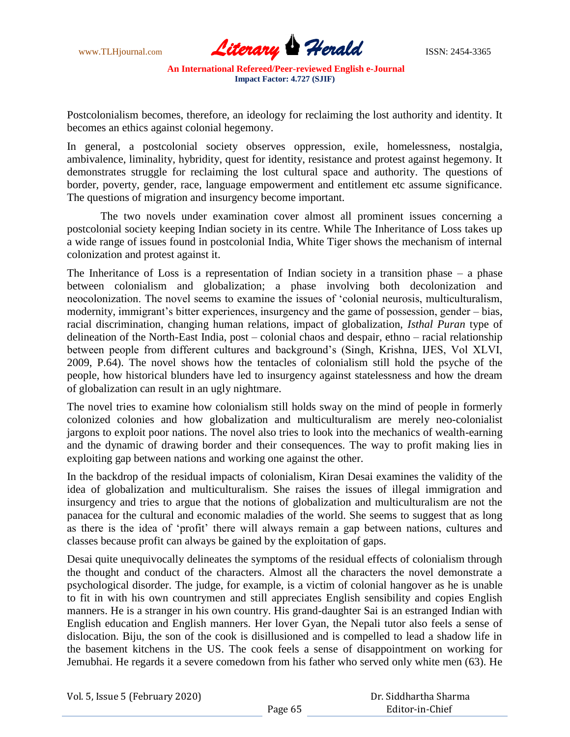

Postcolonialism becomes, therefore, an ideology for reclaiming the lost authority and identity. It becomes an ethics against colonial hegemony.

In general, a postcolonial society observes oppression, exile, homelessness, nostalgia, ambivalence, liminality, hybridity, quest for identity, resistance and protest against hegemony. It demonstrates struggle for reclaiming the lost cultural space and authority. The questions of border, poverty, gender, race, language empowerment and entitlement etc assume significance. The questions of migration and insurgency become important.

The two novels under examination cover almost all prominent issues concerning a postcolonial society keeping Indian society in its centre. While The Inheritance of Loss takes up a wide range of issues found in postcolonial India, White Tiger shows the mechanism of internal colonization and protest against it.

The Inheritance of Loss is a representation of Indian society in a transition phase – a phase between colonialism and globalization; a phase involving both decolonization and neocolonization. The novel seems to examine the issues of "colonial neurosis, multiculturalism, modernity, immigrant's bitter experiences, insurgency and the game of possession, gender – bias, racial discrimination, changing human relations, impact of globalization, *Isthal Puran* type of delineation of the North-East India, post – colonial chaos and despair, ethno – racial relationship between people from different cultures and background"s (Singh, Krishna, IJES, Vol XLVI, 2009, P.64). The novel shows how the tentacles of colonialism still hold the psyche of the people, how historical blunders have led to insurgency against statelessness and how the dream of globalization can result in an ugly nightmare.

The novel tries to examine how colonialism still holds sway on the mind of people in formerly colonized colonies and how globalization and multiculturalism are merely neo-colonialist jargons to exploit poor nations. The novel also tries to look into the mechanics of wealth-earning and the dynamic of drawing border and their consequences. The way to profit making lies in exploiting gap between nations and working one against the other.

In the backdrop of the residual impacts of colonialism, Kiran Desai examines the validity of the idea of globalization and multiculturalism. She raises the issues of illegal immigration and insurgency and tries to argue that the notions of globalization and multiculturalism are not the panacea for the cultural and economic maladies of the world. She seems to suggest that as long as there is the idea of "profit" there will always remain a gap between nations, cultures and classes because profit can always be gained by the exploitation of gaps.

Desai quite unequivocally delineates the symptoms of the residual effects of colonialism through the thought and conduct of the characters. Almost all the characters the novel demonstrate a psychological disorder. The judge, for example, is a victim of colonial hangover as he is unable to fit in with his own countrymen and still appreciates English sensibility and copies English manners. He is a stranger in his own country. His grand-daughter Sai is an estranged Indian with English education and English manners. Her lover Gyan, the Nepali tutor also feels a sense of dislocation. Biju, the son of the cook is disillusioned and is compelled to lead a shadow life in the basement kitchens in the US. The cook feels a sense of disappointment on working for Jemubhai. He regards it a severe comedown from his father who served only white men (63). He

|  |  | Vol. 5, Issue 5 (February 2020) |  |
|--|--|---------------------------------|--|
|--|--|---------------------------------|--|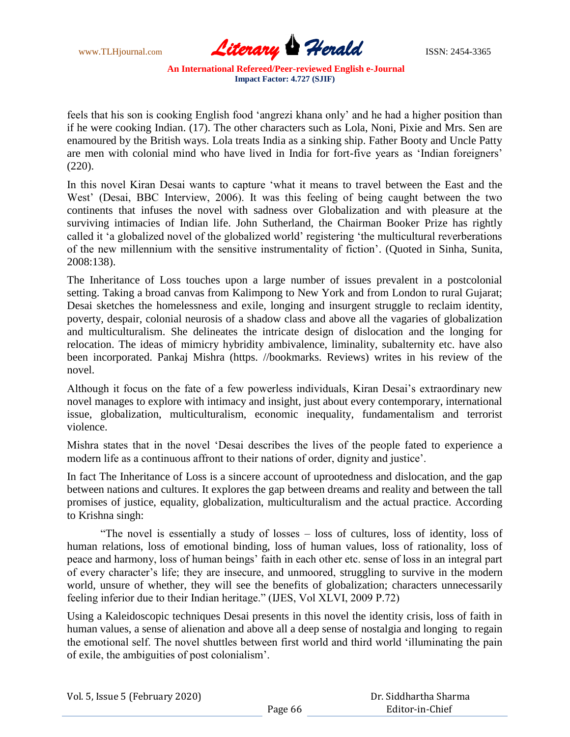

feels that his son is cooking English food "angrezi khana only" and he had a higher position than if he were cooking Indian. (17). The other characters such as Lola, Noni, Pixie and Mrs. Sen are enamoured by the British ways. Lola treats India as a sinking ship. Father Booty and Uncle Patty are men with colonial mind who have lived in India for fort-five years as "Indian foreigners" (220).

In this novel Kiran Desai wants to capture "what it means to travel between the East and the West' (Desai, BBC Interview, 2006). It was this feeling of being caught between the two continents that infuses the novel with sadness over Globalization and with pleasure at the surviving intimacies of Indian life. John Sutherland, the Chairman Booker Prize has rightly called it "a globalized novel of the globalized world" registering "the multicultural reverberations of the new millennium with the sensitive instrumentality of fiction". (Quoted in Sinha, Sunita, 2008:138).

The Inheritance of Loss touches upon a large number of issues prevalent in a postcolonial setting. Taking a broad canvas from Kalimpong to New York and from London to rural Gujarat; Desai sketches the homelessness and exile, longing and insurgent struggle to reclaim identity, poverty, despair, colonial neurosis of a shadow class and above all the vagaries of globalization and multiculturalism. She delineates the intricate design of dislocation and the longing for relocation. The ideas of mimicry hybridity ambivalence, liminality, subalternity etc. have also been incorporated. Pankaj Mishra (https. //bookmarks. Reviews) writes in his review of the novel.

Although it focus on the fate of a few powerless individuals, Kiran Desai"s extraordinary new novel manages to explore with intimacy and insight, just about every contemporary, international issue, globalization, multiculturalism, economic inequality, fundamentalism and terrorist violence.

Mishra states that in the novel "Desai describes the lives of the people fated to experience a modern life as a continuous affront to their nations of order, dignity and justice".

In fact The Inheritance of Loss is a sincere account of uprootedness and dislocation, and the gap between nations and cultures. It explores the gap between dreams and reality and between the tall promises of justice, equality, globalization, multiculturalism and the actual practice. According to Krishna singh:

"The novel is essentially a study of losses – loss of cultures, loss of identity, loss of human relations, loss of emotional binding, loss of human values, loss of rationality, loss of peace and harmony, loss of human beings" faith in each other etc. sense of loss in an integral part of every character"s life; they are insecure, and unmoored, struggling to survive in the modern world, unsure of whether, they will see the benefits of globalization; characters unnecessarily feeling inferior due to their Indian heritage." (IJES, Vol XLVI, 2009 P.72)

Using a Kaleidoscopic techniques Desai presents in this novel the identity crisis, loss of faith in human values, a sense of alienation and above all a deep sense of nostalgia and longing to regain the emotional self. The novel shuttles between first world and third world "illuminating the pain of exile, the ambiguities of post colonialism".

| Vol. 5, Issue 5 (February 2020) |  |  |  |
|---------------------------------|--|--|--|
|---------------------------------|--|--|--|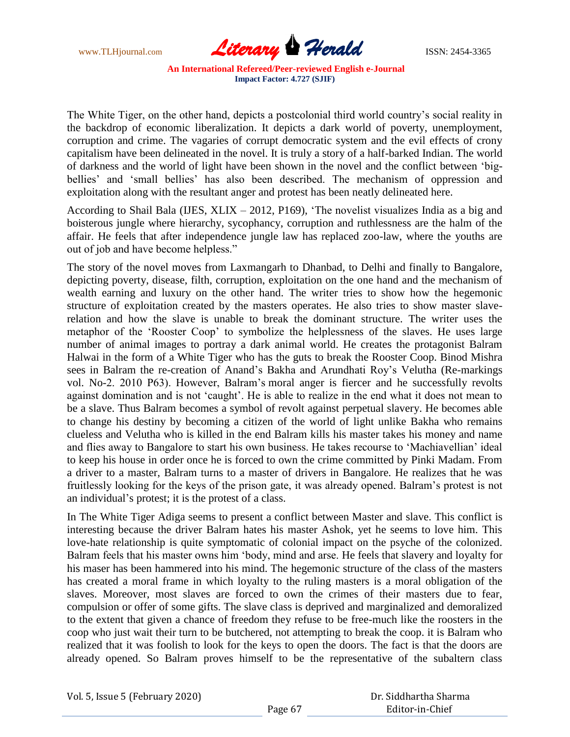

The White Tiger, on the other hand, depicts a postcolonial third world country"s social reality in the backdrop of economic liberalization. It depicts a dark world of poverty, unemployment, corruption and crime. The vagaries of corrupt democratic system and the evil effects of crony capitalism have been delineated in the novel. It is truly a story of a half-barked Indian. The world of darkness and the world of light have been shown in the novel and the conflict between "bigbellies' and 'small bellies' has also been described. The mechanism of oppression and exploitation along with the resultant anger and protest has been neatly delineated here.

According to Shail Bala (IJES, XLIX – 2012, P169), "The novelist visualizes India as a big and boisterous jungle where hierarchy, sycophancy, corruption and ruthlessness are the halm of the affair. He feels that after independence jungle law has replaced zoo-law, where the youths are out of job and have become helpless."

The story of the novel moves from Laxmangarh to Dhanbad, to Delhi and finally to Bangalore, depicting poverty, disease, filth, corruption, exploitation on the one hand and the mechanism of wealth earning and luxury on the other hand. The writer tries to show how the hegemonic structure of exploitation created by the masters operates. He also tries to show master slaverelation and how the slave is unable to break the dominant structure. The writer uses the metaphor of the "Rooster Coop" to symbolize the helplessness of the slaves. He uses large number of animal images to portray a dark animal world. He creates the protagonist Balram Halwai in the form of a White Tiger who has the guts to break the Rooster Coop. Binod Mishra sees in Balram the re-creation of Anand's Bakha and Arundhati Roy's Velutha (Re-markings vol. No-2. 2010 P63). However, Balram"s moral anger is fiercer and he successfully revolts against domination and is not "caught". He is able to realize in the end what it does not mean to be a slave. Thus Balram becomes a symbol of revolt against perpetual slavery. He becomes able to change his destiny by becoming a citizen of the world of light unlike Bakha who remains clueless and Velutha who is killed in the end Balram kills his master takes his money and name and flies away to Bangalore to start his own business. He takes recourse to "Machiavellian" ideal to keep his house in order once he is forced to own the crime committed by Pinki Madam. From a driver to a master, Balram turns to a master of drivers in Bangalore. He realizes that he was fruitlessly looking for the keys of the prison gate, it was already opened. Balram"s protest is not an individual"s protest; it is the protest of a class.

In The White Tiger Adiga seems to present a conflict between Master and slave. This conflict is interesting because the driver Balram hates his master Ashok, yet he seems to love him. This love-hate relationship is quite symptomatic of colonial impact on the psyche of the colonized. Balram feels that his master owns him "body, mind and arse. He feels that slavery and loyalty for his maser has been hammered into his mind. The hegemonic structure of the class of the masters has created a moral frame in which loyalty to the ruling masters is a moral obligation of the slaves. Moreover, most slaves are forced to own the crimes of their masters due to fear, compulsion or offer of some gifts. The slave class is deprived and marginalized and demoralized to the extent that given a chance of freedom they refuse to be free-much like the roosters in the coop who just wait their turn to be butchered, not attempting to break the coop. it is Balram who realized that it was foolish to look for the keys to open the doors. The fact is that the doors are already opened. So Balram proves himself to be the representative of the subaltern class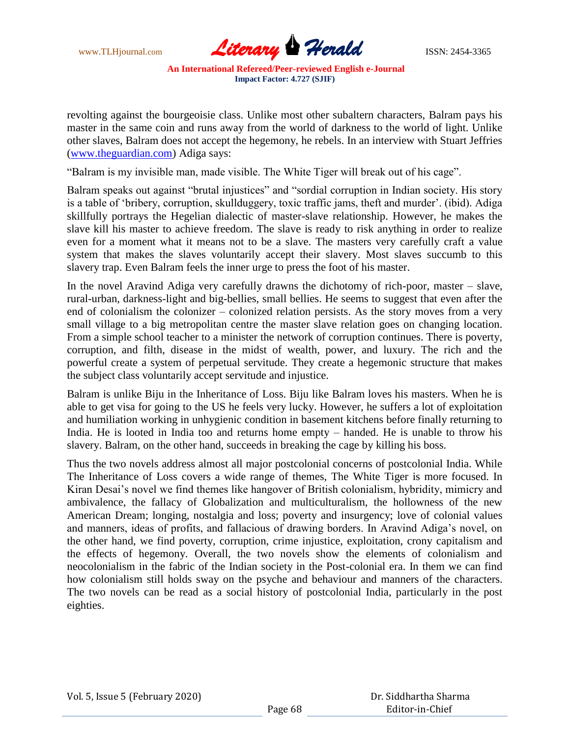

revolting against the bourgeoisie class. Unlike most other subaltern characters, Balram pays his master in the same coin and runs away from the world of darkness to the world of light. Unlike other slaves, Balram does not accept the hegemony, he rebels. In an interview with Stuart Jeffries [\(www.theguardian.com\)](http://www.theguardian.com/) Adiga says:

"Balram is my invisible man, made visible. The White Tiger will break out of his cage".

Balram speaks out against "brutal injustices" and "sordial corruption in Indian society. His story is a table of 'bribery, corruption, skullduggery, toxic traffic jams, theft and murder'. (ibid). Adiga skillfully portrays the Hegelian dialectic of master-slave relationship. However, he makes the slave kill his master to achieve freedom. The slave is ready to risk anything in order to realize even for a moment what it means not to be a slave. The masters very carefully craft a value system that makes the slaves voluntarily accept their slavery. Most slaves succumb to this slavery trap. Even Balram feels the inner urge to press the foot of his master.

In the novel Aravind Adiga very carefully drawns the dichotomy of rich-poor, master – slave, rural-urban, darkness-light and big-bellies, small bellies. He seems to suggest that even after the end of colonialism the colonizer – colonized relation persists. As the story moves from a very small village to a big metropolitan centre the master slave relation goes on changing location. From a simple school teacher to a minister the network of corruption continues. There is poverty, corruption, and filth, disease in the midst of wealth, power, and luxury. The rich and the powerful create a system of perpetual servitude. They create a hegemonic structure that makes the subject class voluntarily accept servitude and injustice.

Balram is unlike Biju in the Inheritance of Loss. Biju like Balram loves his masters. When he is able to get visa for going to the US he feels very lucky. However, he suffers a lot of exploitation and humiliation working in unhygienic condition in basement kitchens before finally returning to India. He is looted in India too and returns home empty – handed. He is unable to throw his slavery. Balram, on the other hand, succeeds in breaking the cage by killing his boss.

Thus the two novels address almost all major postcolonial concerns of postcolonial India. While The Inheritance of Loss covers a wide range of themes, The White Tiger is more focused. In Kiran Desai's novel we find themes like hangover of British colonialism, hybridity, mimicry and ambivalence, the fallacy of Globalization and multiculturalism, the hollowness of the new American Dream; longing, nostalgia and loss; poverty and insurgency; love of colonial values and manners, ideas of profits, and fallacious of drawing borders. In Aravind Adiga"s novel, on the other hand, we find poverty, corruption, crime injustice, exploitation, crony capitalism and the effects of hegemony. Overall, the two novels show the elements of colonialism and neocolonialism in the fabric of the Indian society in the Post-colonial era. In them we can find how colonialism still holds sway on the psyche and behaviour and manners of the characters. The two novels can be read as a social history of postcolonial India, particularly in the post eighties.